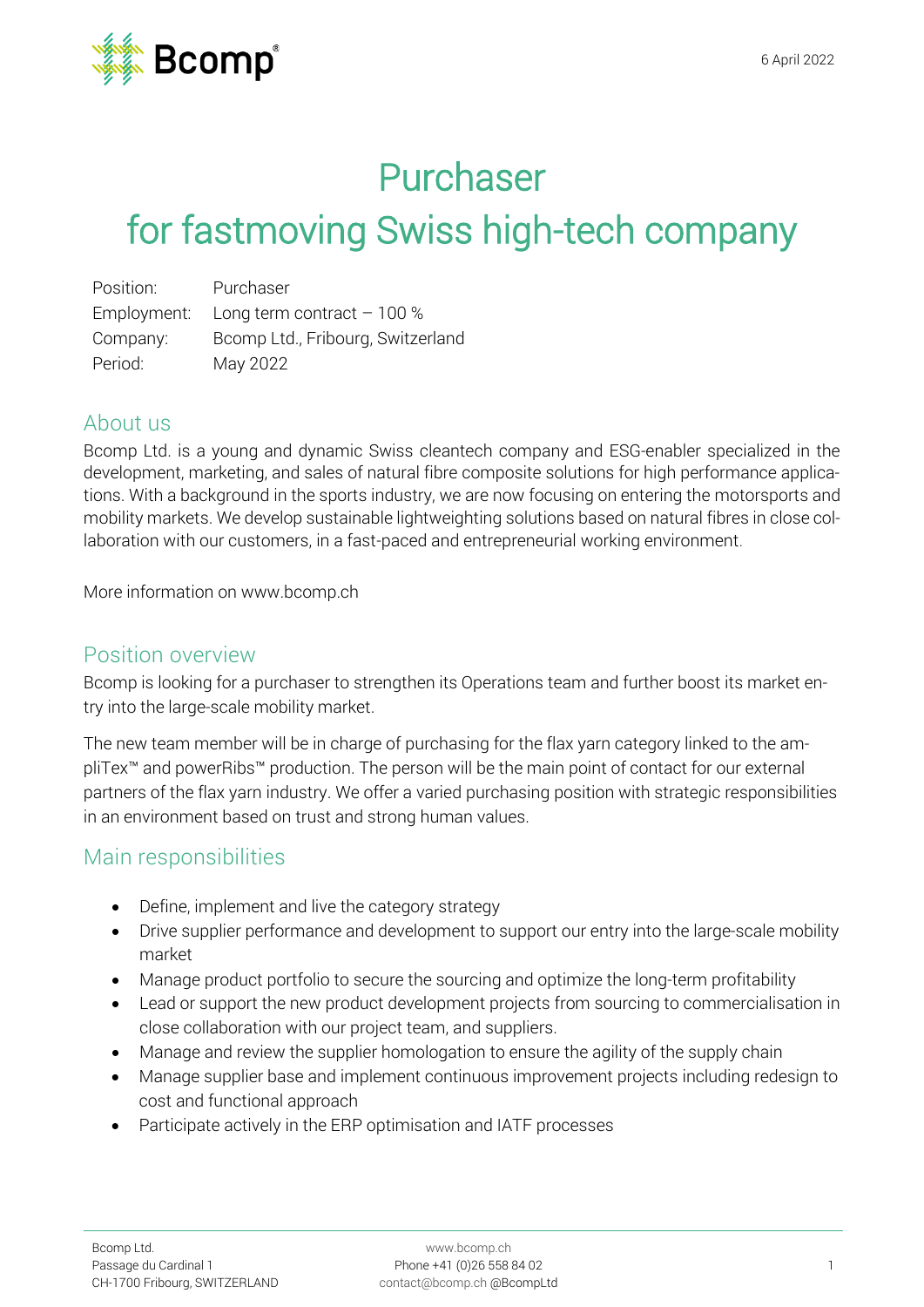

## Purchaser

# for fastmoving Swiss high-tech company

| Position:   | Purchaser                         |
|-------------|-----------------------------------|
| Employment: | Long term contract $-100\%$       |
| Company:    | Bcomp Ltd., Fribourg, Switzerland |
| Period:     | May 2022                          |

#### About us

Bcomp Ltd. is a young and dynamic Swiss cleantech company and ESG-enabler specialized in the development, marketing, and sales of natural fibre composite solutions for high performance applications. With a background in the sports industry, we are now focusing on entering the motorsports and mobility markets. We develop sustainable lightweighting solutions based on natural fibres in close collaboration with our customers, in a fast-paced and entrepreneurial working environment.

More information on [www.bcomp.ch](https://www.bcomp.ch/)

#### Position overview

Bcomp is looking for a purchaser to strengthen its Operations team and further boost its market entry into the large-scale mobility market.

The new team member will be in charge of purchasing for the flax yarn category linked to the ampliTex<sup>™</sup> and powerRibs™ production. The person will be the main point of contact for our external partners of the flax yarn industry. We offer a varied purchasing position with strategic responsibilities in an environment based on trust and strong human values.

### Main responsibilities

- Define, implement and live the category strategy
- Drive supplier performance and development to support our entry into the large-scale mobility market
- Manage product portfolio to secure the sourcing and optimize the long-term profitability
- Lead or support the new product development projects from sourcing to commercialisation in close collaboration with our project team, and suppliers.
- Manage and review the supplier homologation to ensure the agility of the supply chain
- Manage supplier base and implement continuous improvement projects including redesign to cost and functional approach
- Participate actively in the ERP optimisation and IATF processes